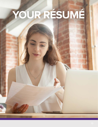# YOUR RÉSUMÉ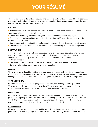# **YOUR RÉSUMÉ**

**There is no one way to write a Résumé, and no one should write it for you. The job seeker is the expert on him/herself and is, therefore, best qualified to present unique strengths and capabilities for specific career objectives.** 

#### **PURPOSE**

**Provides employers with information about your abilities and experiences so they can assess** your potential for a successful job match.

- **Serves as a marketing document designed to catch the interest of an employer.**
- **Creates a clear and critical first impression since as little as 15 seconds may be devoted to** looking at each Résumé.
- **Shows focus on the needs of the employer, not on the needs and desires of the job seeker.**
- **Space is critical; carefully evaluate each item and its relationship to your career objective.**

#### **PREPARATION**

**Take a complete inventory of your resources. For example; higher education and training,** work experiences, activities and special skills (particular emphasis should be placed upon achievements, especially as they relate to education and work experience).

#### **Technical aspects:**

- **Format—structure component or how the information is organized and presented.**
- Content—information component or what is presented.

#### **FORMAT**

There are three styles of format that are most commonly used for Résumés: chronological, functional, and combination. Choose the format that you believe will best market your abilities in conjunction with your past experiences, unique skills, and immediate career objective.

#### **CHRONOLOGICAL**

Used for an individual who is staying in the same field, has training and/or experience. Consistent with the objective, has relevant job titles, or is applying for a job in a highly traditional field. Most effective for the majority of new college graduates.

#### **FUNCTIONAL**

Emphasizes skill areas. Most helpful for people who are changing careers, re-entering the job market, applying for positions for which their training and/or experience does not directly qualify them, or whose background does not emphasize their abilities for the job. Skills categories should be ranked in order to support the career objective.

#### **COMBINATION**

Hybrid of a chronological and functional Résumé. The skills or qualifications section identifies your skills in relation to your job or career objective. This format grabs the reader's attention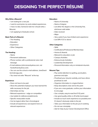# **DESIGNING THE PERFECT RÉSUMÉ**

#### **Why Write a Résumé?**

- I am looking for a new job.
- I want to summarize my work-related experiences.
- I have no idea. Someone told me I should write a Résumé.
- I am applying to Graduate school.

#### **Basic Parts of a Résumé:**

- The Heading
- Education
- Experience
- Other Categories

#### **The Heading:**

- Name
- Permanent addresses
- Phone number, with a professional voice mail message
- E-mail address (JohnJones@yahoo.com, not Hunkofman@yahoo.com)
- You can use the school e-mail address: JaneDoe@ lionmail.sagu.edu
- You need not write "Résumé" at the top

#### **Experience:**

- Does not have to be paid
- Show the potential employer you have learned the skills necessary for the job
- Internships are key
- Relevant experience = edge on competition
- Use bullets for skills/accomplishments
- Specific measurable results
- Can be logical rather than chronological
- Include all experiences, but expand more on relevant experiences

#### **Education:**

- Name of University
- Name of degree
- List either the degree or the University first, whichever sells better
- Date received
- Major
- Very useful if you have limited work experience
- List GPA if 3.0 or above

#### **Other Categories:**

- Skills
- Certifications/Professional Memberships
- Honors & Awards
- Relevant to education or job
- Campus Activities
- Extracurricular Activities
- Leadership Development
- Personal Information only on ministerial résumés

#### **Résumé Tips:**

- Pay careful attention to spelling, punctuation, grammar and style
- Proofread your résumé carefully, and have others proofread as well
- Organize information in a logical fashion
- Keep descriptions clear and to the point
- If you are a new graduate, confine your information to one page
- Use a simple, easy-to-read font 11-12 point
- Use good-quality white or off-white bond paper
- Include as much work experience as possible,even if it doesn't obviously relate to the job
- Tailor your information to the job you're seeking
- Do not use a template
- Ask for help at your Career Development Office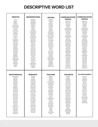### **DESCRIPTIVE WORD LIST**

| <b>CREATIVE</b>       | <b>ORGANIZATIONAL</b> | <b>HELPING</b>  | <b>COMMUNICATION/</b> | <b>COMMUNICATION/</b>  |
|-----------------------|-----------------------|-----------------|-----------------------|------------------------|
|                       | Approved              | Adapted         | <b>PEOPLE</b>         | <b>PEOPLE</b>          |
| Acted<br>Adapted      | Arranged              | Advocated       | Addressed             | Addressed              |
| Began                 | Catalogued            | Aided           | Advertised            | Advertised             |
| Combined              | Categorized           | Answered        | Arranged              | Arranged               |
| Composed              | Charted               | Arranged        | Authored              | Authored               |
| Conceptualized        | Classified            | Assessed        | Clarified             | Clarified              |
| Condensed             | Coded                 | Assisted        | Collaborated          | Collaborated           |
| Created               | Collected             | Clarified       | Communicated          | Communicated           |
| Customized            | Compiled              | Coached         | Composed              | Composed               |
| Designed              | Corresponded          | Collaborated    | Consulted             | Consulted              |
| Developed             | Distributed           | Contributed     | Conveyed              | Conveyed               |
| Directed              | Executed              | Counseled       | Convinced             | Convinced              |
| Displayed             | Generated             | Demonstrated    | Corresponded          | Corresponded           |
| Drew                  | Incorporated          | Diagnosed       | Defined               | Defined                |
| Entertained           | Inspected             | Educated        | Expressed             | Expressed              |
| Established           | Maintained            | Encouraged      | Formulated            | Formulated             |
| Fashioned             | Monitored             | Ensured         | Incorporated          | Incorporated           |
| Formulated            | Obtained              | Expedited       | Influenced            | Influenced             |
| Founded               | Ordered               | Facilitated     | Interpreted           | Interpreted            |
| Illustrated           | Organized             | Familiarized    | Interviewed           | Interviewed            |
| Initiated             | Prepared              | Furthered       | Involved              | Involved               |
| Instituted            | Processed             | Guided          | Marketed              | Marketed               |
| Integrated            | Purchased             | Insured         | Mediated              | Mediated               |
| Introduced            | Registered            | Intervened      | Negotiated            | Negotiated             |
| Invented              | Reserved              | Motivated       | Observed              | Observed               |
| Modeled               | Responded             | Prevented       | Outlined              | Outlined               |
| Modified              | Reviewed              | Provided        | Participated          | Participated           |
| Originated            | Routed                | Referred        | Persuaded             | Persuaded              |
| Performed             | Scheduled             | Rehabilitated   | Promoted              | Promoted               |
| Photographed          | Screened              | Represented     | Proposed              | Proposed               |
| Planned               | Submitted             | Resolved        | Publicized            | Publicized             |
| Revised               | Supplied              | Simplified      | Recruited             | Recruited              |
| Revitalized           | Standardized          | Supplied        | Referred              | Referred               |
| Shaped                | Systemized            | Supported       | Reinforced            | Reinforced             |
| Solved                | Updated               | Volunteered     | Resolved              | Resolved               |
|                       | Verified              |                 | Summarized            | Summarized             |
|                       |                       |                 |                       |                        |
|                       |                       |                 |                       |                        |
| <b>DATA/FINANCIAL</b> | <b>RESEARCH</b>       | <b>TEACHING</b> | <b>TECHNICAL</b>      | <b>ACCOMPLISHMENTS</b> |
| Administered          | Analyzed              | Adapted         | Adapted               | Achieved               |
| Adjusted              | Clarified             | Advised         | Applied               | Adjusted               |
| Allocated             | Collected             | Clarified       | Assembled             | Completed              |
| Analyzed              | Compared              | Coached         | Calculated            | Conducted              |
| Appraised             | Conducted             | Communicated    | Computed              | Earned                 |
| Assessed              | Critiqued             | Conducted       | Conserved             | Enforced               |
| Audited               | Detected              | Coordinated     | Constructed           | Exceeded               |
| Balanced              | Determined            | Critiqued       | Converted             | Mastered               |
| Budgeted              | Diagnosed             | Developed       | Debugged              | Modeled                |
| Calculated            | Evaluated             | Enabled         | Designed              | Modified               |
| Competed              | Examined              | Encouraged      | Determined            | Overcame               |
| Conserved             | Experimented          | Evaluated       | Developed             | Pioneered              |
| Corrected             | Explored              | Explained       | Engineered            | Proposed               |
| Determined            | Extracted             | Facilitated     | Installed             | Reduced                |
| Developed             | Formulated            | Focused         | Maintained            | Restored               |
| Estimated             | Gathered              | Guided          | Operated              | Spearheaded            |
| Forecasted            |                       |                 |                       |                        |
| Managed               | Inspected             | Individualized  | Programmed            | Streamlined            |
|                       | Interviewed           | Informed        | Rectified             | Succeeded              |
| Marketed              | Investigated          | Instilled       | Regulated             | Surpassed              |
| Measured              | Located               | Instructed      | Remodeled             | Transformed            |
| Planned               | Measured              | Motivated       | Repaired              |                        |
| Prepared              | Organized             | Persuaded       | Replaced              |                        |
| Programmed            | Researched            | Stimulated      | Restored              |                        |
| Projected             | Reviewed              | Taught          | Solved                |                        |
| Reconciled            | Searched              | Tested          | Specialized           |                        |
| Reduced               | Summarized            | Trained         | Standardized          |                        |
| Researched            | Surveyed              | Transmitted     | Upgraded              |                        |
| Retrieved             |                       | Tutored         | Utilized              |                        |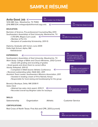# **SAMPLE RÉSUMÉ**

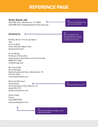## **REFERENCE PAGE REFERENCE PAGE**

#### **Anita Good Job**

1234 ABC Ave., Waxahachie, TX 75165 (214) 888.1234; anitagoodjob@lionmail.sagu.edu

«

Tip:

 $\left\langle \right\rangle$  Use the same heading as you used on your Résumé

Tip:

Ask your references for their permission to be listed. Provide them with a copy of your Résumé for review.

#### **REFERENCES**

Mr./Mrs./Ms./Dr. First & Last Name Title Place of Work Phone Number (Work First) Appropriate Email

Dr. Ida Wright Professor of Education Southwestern Assemblies of God University (888) 977-7248 iwright@sagu.edu

Mr. Tommy Ball Store Manager Bealls Department Store, Waxahachie, TX (111) 222-3333 mrtommyb@bealls.com

Reverend Bill Scout Youth Pastor First Assembly of God, Beyond, TX (444) 555-7777 ypbillscout@yahoo.com

Susan Pretty Friend (222) 888-0000 susanpretty@gmail.com



Tip: Your Résumé & Reference pages are two separate documents.

<sup>T</sup>ip: « Limit your references to 3-5